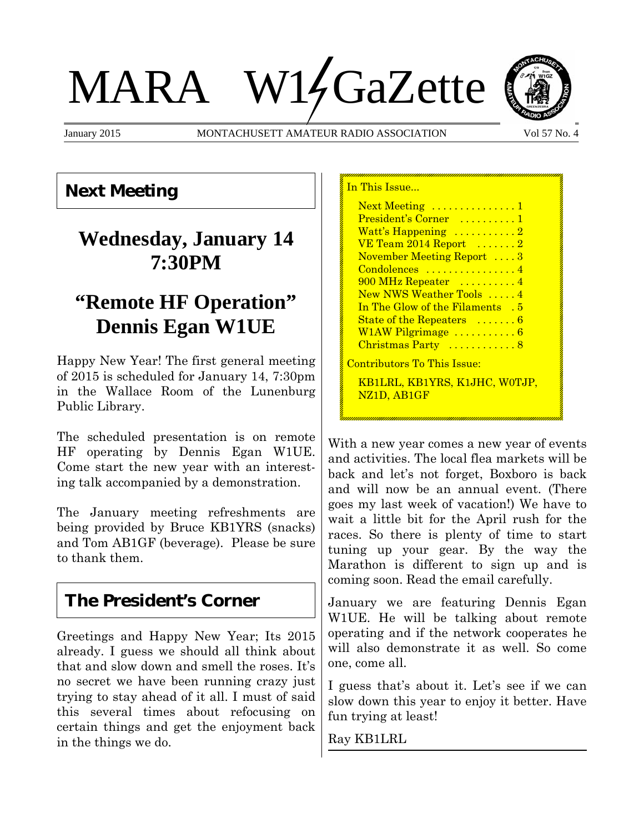# MARA W14GaZette

January 2015 MONTACHUSETT AMATEUR RADIO ASSOCIATION Vol 57 No. 4

In This Issue



## **Next Meeting**

## **Wednesday, January 14 7:30PM**

## **"Remote HF Operation" Dennis Egan W1UE**

Happy New Year! The first general meeting of 2015 is scheduled for January 14, 7:30pm in the Wallace Room of the Lunenburg Public Library.

The scheduled presentation is on remote HF operating by Dennis Egan W1UE. Come start the new year with an interesting talk accompanied by a demonstration.

The January meeting refreshments are being provided by Bruce KB1YRS (snacks) and Tom AB1GF (beverage). Please be sure to thank them.

## **The President's Corner**

Greetings and Happy New Year; Its 2015 already. I guess we should all think about that and slow down and smell the roses. It's no secret we have been running crazy just trying to stay ahead of it all. I must of said this several times about refocusing on certain things and get the enjoyment back in the things we do.

With a new year comes a new year of events and activities. The local flea markets will be back and let's not forget, Boxboro is back and will now be an annual event. (There goes my last week of vacation!) We have to wait a little bit for the April rush for the races. So there is plenty of time to start tuning up your gear. By the way the Marathon is different to sign up and is coming soon. Read the email carefully.

January we are featuring Dennis Egan W1UE. He will be talking about remote operating and if the network cooperates he will also demonstrate it as well. So come one, come all.

I guess that's about it. Let's see if we can slow down this year to enjoy it better. Have fun trying at least!

Ray KB1LRL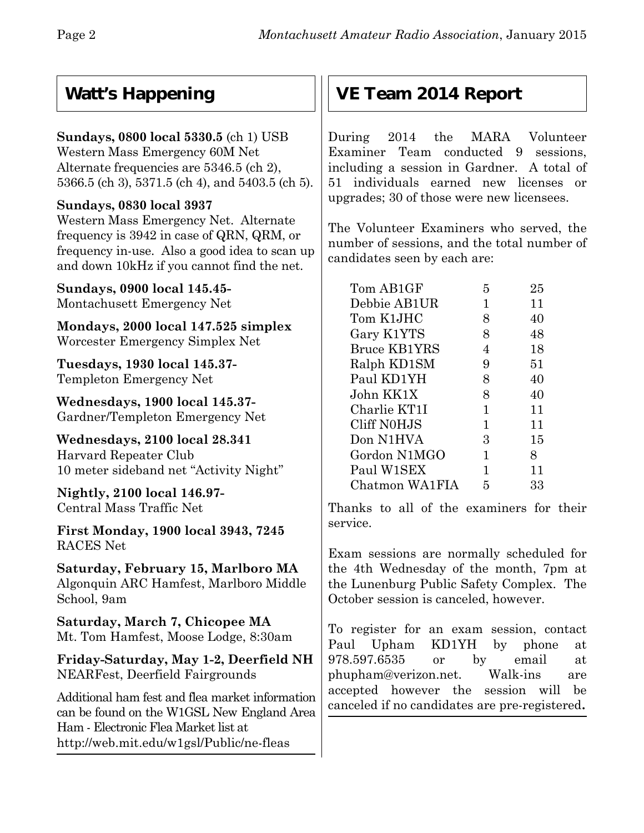## **Watt's Happening**

### **Sundays, 0800 local 5330.5** (ch 1) USB

Western Mass Emergency 60M Net Alternate frequencies are 5346.5 (ch 2), 5366.5 (ch 3), 5371.5 (ch 4), and 5403.5 (ch 5).

#### **Sundays, 0830 local 3937**

Western Mass Emergency Net. Alternate frequency is 3942 in case of QRN, QRM, or frequency in-use. Also a good idea to scan up and down 10kHz if you cannot find the net.

**Sundays, 0900 local 145.45-** Montachusett Emergency Net

**Mondays, 2000 local 147.525 simplex** Worcester Emergency Simplex Net

**Tuesdays, 1930 local 145.37-** Templeton Emergency Net

**Wednesdays, 1900 local 145.37-** Gardner/Templeton Emergency Net

**Wednesdays, 2100 local 28.341** Harvard Repeater Club 10 meter sideband net "Activity Night"

**Nightly, 2100 local 146.97-** Central Mass Traffic Net

**First Monday, 1900 local 3943, 7245** RACES Net

**Saturday, February 15, Marlboro MA** Algonquin ARC Hamfest, Marlboro Middle School, 9am

**Saturday, March 7, Chicopee MA** Mt. Tom Hamfest, Moose Lodge, 8:30am

**Friday-Saturday, May 1-2, Deerfield NH** NEARFest, Deerfield Fairgrounds

Additional ham fest and flea market information can be found on the W1GSL New England Area Ham - Electronic Flea Market list at http://web.mit.edu/w1gsl/Public/ne-fleas

## **VE Team 2014 Report**

During 2014 the MARA Volunteer Examiner Team conducted 9 sessions, including a session in Gardner. A total of 51 individuals earned new licenses or upgrades; 30 of those were new licensees.

The Volunteer Examiners who served, the number of sessions, and the total number of candidates seen by each are:

| Tom AB1GF           | 5 | 25 |
|---------------------|---|----|
| Debbie AB1UR        | 1 | 11 |
| Tom K1JHC           | 8 | 40 |
| Gary K1YTS          | 8 | 48 |
| <b>Bruce KB1YRS</b> | 4 | 18 |
| Ralph KD1SM         | 9 | 51 |
| Paul KD1YH          | 8 | 40 |
| John KK1X           | 8 | 40 |
| Charlie KT1I        | 1 | 11 |
| Cliff N0HJS         | 1 | 11 |
| Don N1HVA           | 3 | 15 |
| Gordon N1MGO        | 1 | 8  |
| Paul W1SEX          | 1 | 11 |
| Chatmon WA1FIA      | 5 | 33 |

Thanks to all of the examiners for their service.

Exam sessions are normally scheduled for the 4th Wednesday of the month, 7pm at the Lunenburg Public Safety Complex. The October session is canceled, however.

To register for an exam session, contact Paul Upham KD1YH by phone at 978.597.6535 or by email at phupham@verizon.net. Walk-ins are accepted however the session will be canceled if no candidates are pre-registered**.**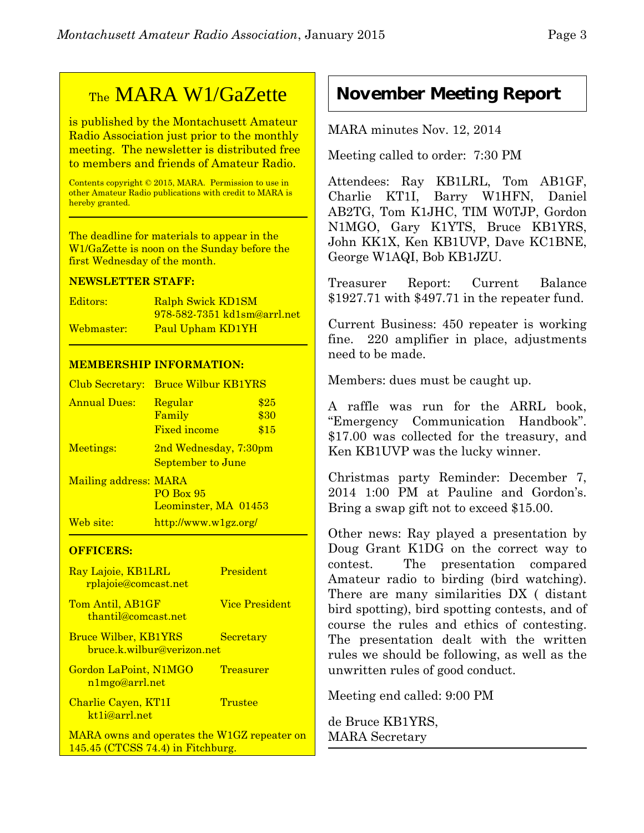## TheMARA W1/GaZette

is published by the Montachusett Amateur Radio Association just prior to the monthly meeting. The newsletter is distributed free to members and friends of Amateur Radio.

Contents copyright © 2015, MARA. Permission to use in other Amateur Radio publications with credit to MARA is hereby granted.

The deadline for materials to appear in the W1/GaZette is noon on the Sunday before the first Wednesday of the month.

#### **NEWSLETTER STAFF:**

| Editors:   | Ralph Swick KD1SM           |
|------------|-----------------------------|
|            | 978-582-7351 kd1sm@arrl.net |
| Webmaster: | Paul Upham KD1YH            |

#### **MEMBERSHIP INFORMATION:**

| Club Secretary:       | <b>Bruce Wilbur KB1YRS</b>                          |                      |
|-----------------------|-----------------------------------------------------|----------------------|
| <b>Annual Dues:</b>   | Regular<br>Family<br><b>Fixed income</b>            | \$25<br>\$30<br>\$15 |
| Meetings:             | 2nd Wednesday, 7:30pm<br>September to June          |                      |
| Mailing address: MARA | <b>PO Box 95</b><br>Leominster, MA 01453            |                      |
| Web site:             | $\frac{http://www.w1gz.org/}{http://www.w1gz.org/}$ |                      |

#### **OFFICERS:**

| Ray Lajoie, KB1LRL<br><u>rplajoie@comcast.net</u>                                  | President             |
|------------------------------------------------------------------------------------|-----------------------|
| Tom Antil, AB1GF<br>thantil@comcast.net                                            | <b>Vice President</b> |
| <b>Bruce Wilber, KB1YRS</b><br>bruce.k.wilbur@verizon.net                          | <b>Secretary</b>      |
| Gordon LaPoint, N1MGO<br>n1mgo@arrl.net                                            | <b>Treasurer</b>      |
| Charlie Cayen, KT1I<br>kt1j@arrl.net                                               | Trustee               |
| MARA owns and operates the W1GZ repeater on<br>$145.45$ (CTCSS 74.4) in Fitchburg. |                       |

## **November Meeting Report**

MARA minutes Nov. 12, 2014

Meeting called to order: 7:30 PM

Attendees: Ray KB1LRL, Tom AB1GF, Charlie KT1I, Barry W1HFN, Daniel AB2TG, Tom K1JHC, TIM W0TJP, Gordon N1MGO, Gary K1YTS, Bruce KB1YRS, John KK1X, Ken KB1UVP, Dave KC1BNE, George W1AQI, Bob KB1JZU.

Treasurer Report: Current Balance \$1927.71 with \$497.71 in the repeater fund.

Current Business: 450 repeater is working fine. 220 amplifier in place, adjustments need to be made.

Members: dues must be caught up.

A raffle was run for the ARRL book, "Emergency Communication Handbook". \$17.00 was collected for the treasury, and Ken KB1UVP was the lucky winner.

Christmas party Reminder: December 7, 2014 1:00 PM at Pauline and Gordon's. Bring a swap gift not to exceed \$15.00.

Other news: Ray played a presentation by Doug Grant K1DG on the correct way to contest. The presentation compared Amateur radio to birding (bird watching). There are many similarities DX ( distant bird spotting), bird spotting contests, and of course the rules and ethics of contesting. The presentation dealt with the written rules we should be following, as well as the unwritten rules of good conduct.

Meeting end called: 9:00 PM

de Bruce KB1YRS, MARA Secretary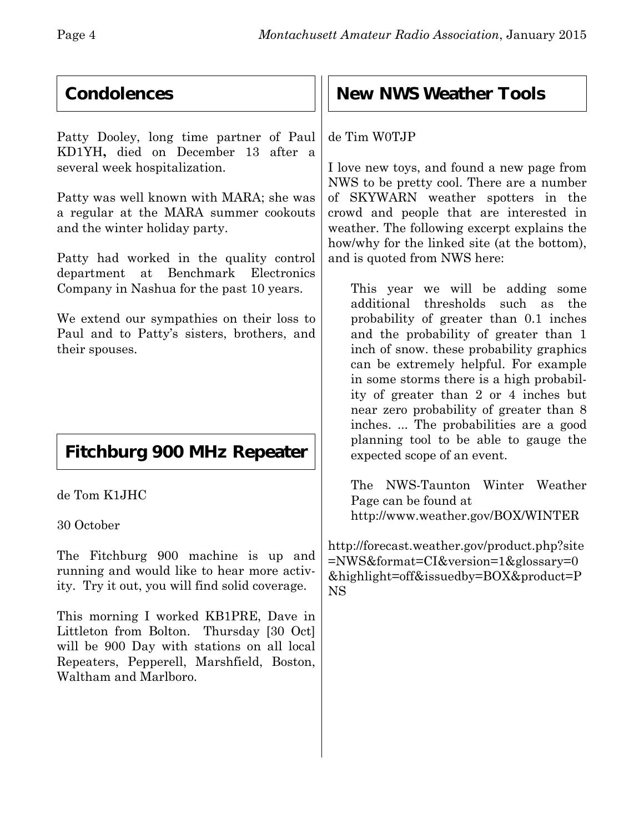## **Condolences**

Patty Dooley, long time partner of Paul KD1YH**,** died on December 13 after a several week hospitalization.

Patty was well known with MARA; she was a regular at the MARA summer cookouts and the winter holiday party.

Patty had worked in the quality control department at Benchmark Electronics Company in Nashua for the past 10 years.

We extend our sympathies on their loss to Paul and to Patty's sisters, brothers, and their spouses.

## **Fitchburg 900 MHz Repeater**

de Tom K1JHC

30 October

The Fitchburg 900 machine is up and running and would like to hear more activity. Try it out, you will find solid coverage.

This morning I worked KB1PRE, Dave in Littleton from Bolton. Thursday [30 Oct] will be 900 Day with stations on all local Repeaters, Pepperell, Marshfield, Boston, Waltham and Marlboro.

## **New NWS Weather Tools**

#### de Tim W0TJP

I love new toys, and found a new page from NWS to be pretty cool. There are a number of SKYWARN weather spotters in the crowd and people that are interested in weather. The following excerpt explains the how/why for the linked site (at the bottom), and is quoted from NWS here:

This year we will be adding some additional thresholds such as the probability of greater than 0.1 inches and the probability of greater than 1 inch of snow. these probability graphics can be extremely helpful. For example in some storms there is a high probability of greater than 2 or 4 inches but near zero probability of greater than 8 inches. ... The probabilities are a good planning tool to be able to gauge the expected scope of an event.

The NWS-Taunton Winter Weather Page can be found at http://www.weather.gov/BOX/WINTER

http://forecast.weather.gov/product.php?site =NWS&format=CI&version=1&glossary=0 &highlight=off&issuedby=BOX&product=P NS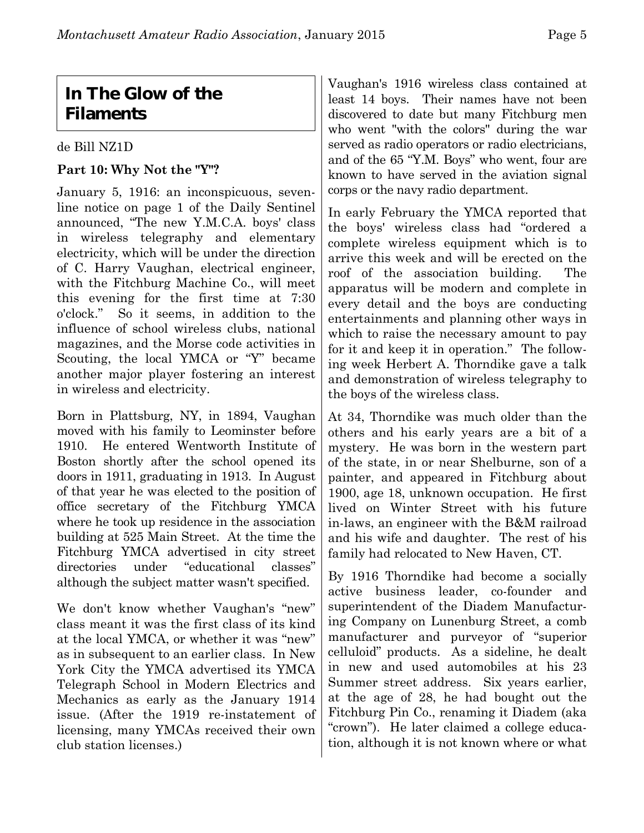## **In The Glow of the Filaments**

#### de Bill NZ1D

#### **Part 10: Why Not the "Y"?**

January 5, 1916: an inconspicuous, sevenline notice on page 1 of the Daily Sentinel announced, "The new Y.M.C.A. boys' class in wireless telegraphy and elementary electricity, which will be under the direction of C. Harry Vaughan, electrical engineer, with the Fitchburg Machine Co., will meet this evening for the first time at 7:30 o'clock." So it seems, in addition to the influence of school wireless clubs, national magazines, and the Morse code activities in Scouting, the local YMCA or "Y" became another major player fostering an interest in wireless and electricity.

Born in Plattsburg, NY, in 1894, Vaughan moved with his family to Leominster before 1910. He entered Wentworth Institute of Boston shortly after the school opened its doors in 1911, graduating in 1913. In August of that year he was elected to the position of office secretary of the Fitchburg YMCA where he took up residence in the association building at 525 Main Street. At the time the Fitchburg YMCA advertised in city street directories under "educational classes" although the subject matter wasn't specified.

We don't know whether Vaughan's "new" class meant it was the first class of its kind at the local YMCA, or whether it was "new" as in subsequent to an earlier class. In New York City the YMCA advertised its YMCA Telegraph School in Modern Electrics and Mechanics as early as the January 1914 issue. (After the 1919 re-instatement of licensing, many YMCAs received their own club station licenses.)

Vaughan's 1916 wireless class contained at least 14 boys. Their names have not been discovered to date but many Fitchburg men who went "with the colors" during the war served as radio operators or radio electricians, and of the 65 "Y.M. Boys" who went, four are known to have served in the aviation signal corps or the navy radio department.

In early February the YMCA reported that the boys' wireless class had "ordered a complete wireless equipment which is to arrive this week and will be erected on the roof of the association building. The apparatus will be modern and complete in every detail and the boys are conducting entertainments and planning other ways in which to raise the necessary amount to pay for it and keep it in operation." The following week Herbert A. Thorndike gave a talk and demonstration of wireless telegraphy to the boys of the wireless class.

At 34, Thorndike was much older than the others and his early years are a bit of a mystery. He was born in the western part of the state, in or near Shelburne, son of a painter, and appeared in Fitchburg about 1900, age 18, unknown occupation. He first lived on Winter Street with his future in-laws, an engineer with the B&M railroad and his wife and daughter. The rest of his family had relocated to New Haven, CT.

By 1916 Thorndike had become a socially active business leader, co-founder and superintendent of the Diadem Manufacturing Company on Lunenburg Street, a comb manufacturer and purveyor of "superior celluloid" products. As a sideline, he dealt in new and used automobiles at his 23 Summer street address. Six years earlier, at the age of 28, he had bought out the Fitchburg Pin Co., renaming it Diadem (aka "crown"). He later claimed a college education, although it is not known where or what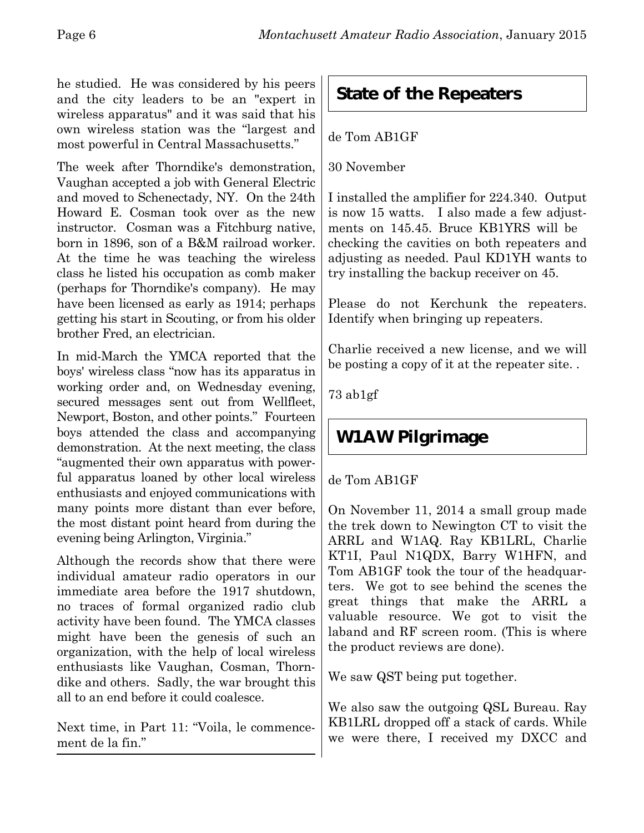he studied. He was considered by his peers and the city leaders to be an "expert in wireless apparatus" and it was said that his own wireless station was the "largest and most powerful in Central Massachusetts."

The week after Thorndike's demonstration, Vaughan accepted a job with General Electric and moved to Schenectady, NY. On the 24th Howard E. Cosman took over as the new instructor. Cosman was a Fitchburg native, born in 1896, son of a B&M railroad worker. At the time he was teaching the wireless class he listed his occupation as comb maker (perhaps for Thorndike's company). He may have been licensed as early as 1914; perhaps getting his start in Scouting, or from his older brother Fred, an electrician.

In mid-March the YMCA reported that the boys' wireless class "now has its apparatus in working order and, on Wednesday evening, secured messages sent out from Wellfleet, Newport, Boston, and other points." Fourteen boys attended the class and accompanying demonstration. At the next meeting, the class "augmented their own apparatus with powerful apparatus loaned by other local wireless enthusiasts and enjoyed communications with many points more distant than ever before, the most distant point heard from during the evening being Arlington, Virginia."

Although the records show that there were individual amateur radio operators in our immediate area before the 1917 shutdown, no traces of formal organized radio club activity have been found. The YMCA classes might have been the genesis of such an organization, with the help of local wireless enthusiasts like Vaughan, Cosman, Thorndike and others. Sadly, the war brought this all to an end before it could coalesce.

Next time, in Part 11: "Voila, le commencement de la fin."

## **State of the Repeaters**

#### de Tom AB1GF

30 November

I installed the amplifier for 224.340. Output is now 15 watts. I also made a few adjustments on 145.45. Bruce KB1YRS will be checking the cavities on both repeaters and adjusting as needed. Paul KD1YH wants to try installing the backup receiver on 45.

Please do not Kerchunk the repeaters. Identify when bringing up repeaters.

Charlie received a new license, and we will be posting a copy of it at the repeater site. .

73 ab1gf

## **W1AW Pilgrimage**

de Tom AB1GF

On November 11, 2014 a small group made the trek down to Newington CT to visit the ARRL and W1AQ. Ray KB1LRL, Charlie KT1I, Paul N1QDX, Barry W1HFN, and Tom AB1GF took the tour of the headquarters. We got to see behind the scenes the great things that make the ARRL a valuable resource. We got to visit the laband and RF screen room. (This is where the product reviews are done).

We saw QST being put together.

We also saw the outgoing QSL Bureau. Ray KB1LRL dropped off a stack of cards. While we were there, I received my DXCC and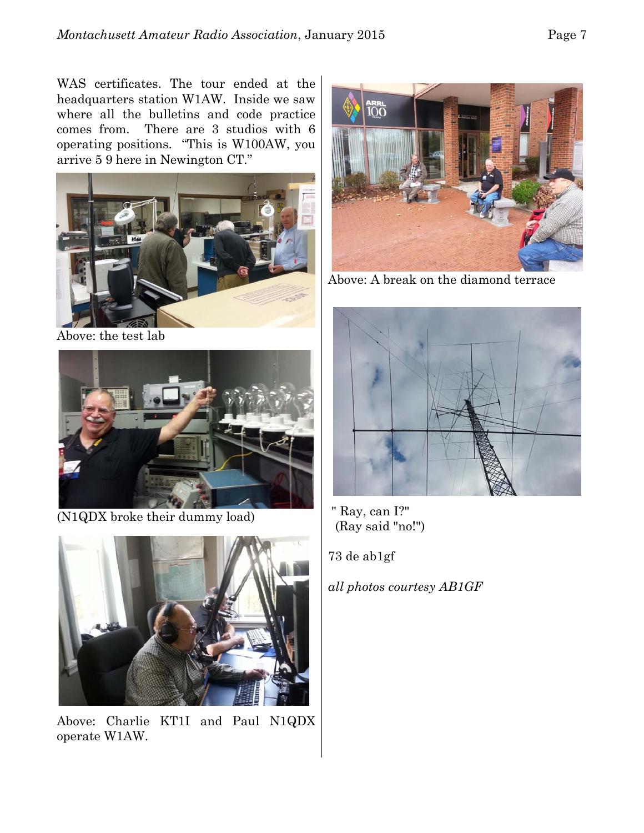WAS certificates. The tour ended at the headquarters station W1AW. Inside we saw where all the bulletins and code practice comes from. There are 3 studios with 6 operating positions. "This is W100AW, you arrive 5 9 here in Newington CT."



Above: the test lab



(N1QDX broke their dummy load)



Above: Charlie KT1I and Paul N1QDX operate W1AW.



Above: A break on the diamond terrace



 " Ray, can I?" (Ray said "no!")

73 de ab1gf

*all photos courtesy AB1GF*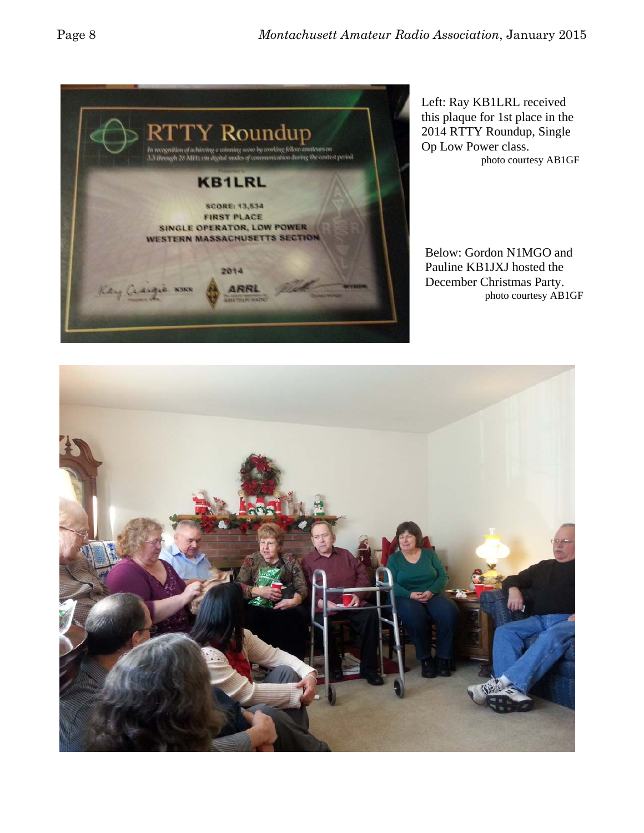

Left: Ray KB1LRL received this plaque for 1st place in the 2014 RTTY Roundup, Single Op Low Power class. photo courtesy AB1GF

Below: Gordon N1MGO and Pauline KB1JXJ hosted the December Christmas Party. photo courtesy AB1GF

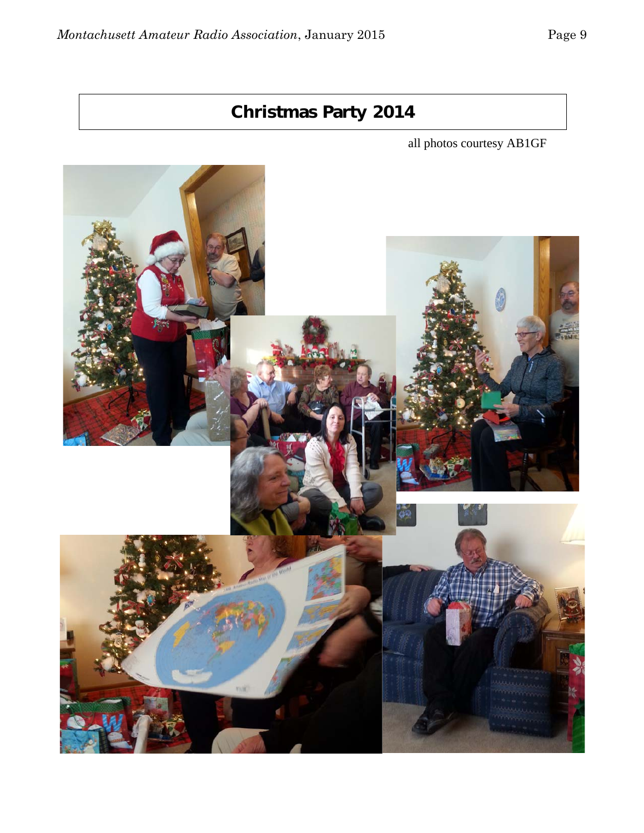